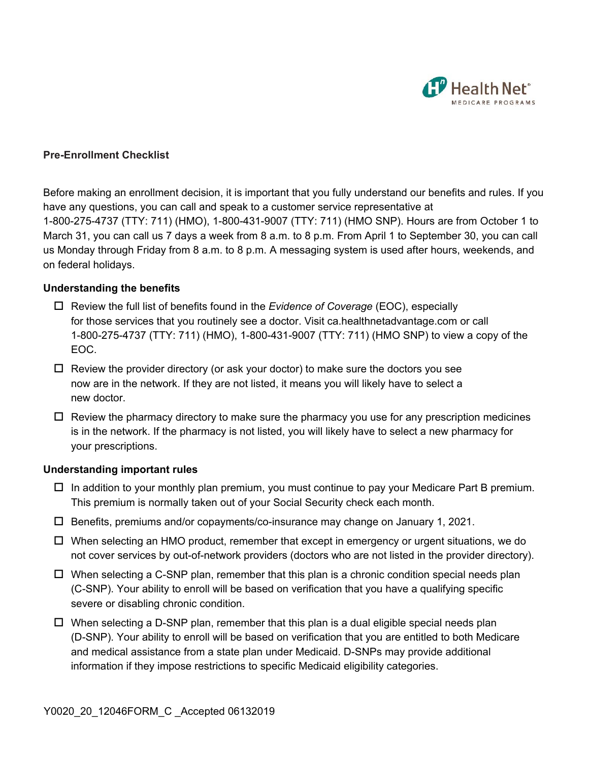

## **Pre-Enrollment Checklist**

Before making an enrollment decision, it is important that you fully understand our benefits and rules. If you have any questions, you can call and speak to a customer service representative at 1-800-275-4737 (TTY: 711) (HMO), 1-800-431-9007 (TTY: 711) (HMO SNP). Hours are from October 1 to March 31, you can call us 7 days a week from 8 a.m. to 8 p.m. From April 1 to September 30, you can call us Monday through Friday from 8 a.m. to 8 p.m. A messaging system is used after hours, weekends, and on federal holidays.

## **Understanding the benefits**

- Review the full list of benefits found in the *Evidence of Coverage* (EOC), especially for those services that you routinely see a doctor. Visit ca.healthnetadvantage.com or call 1-800-275-4737 (TTY: 711) (HMO), 1-800-431-9007 (TTY: 711) (HMO SNP) to view a copy of the EOC.
- $\Box$  Review the provider directory (or ask your doctor) to make sure the doctors you see now are in the network. If they are not listed, it means you will likely have to select a new doctor.
- $\Box$  Review the pharmacy directory to make sure the pharmacy you use for any prescription medicines is in the network. If the pharmacy is not listed, you will likely have to select a new pharmacy for your prescriptions.

## **Understanding important rules**

- $\Box$  In addition to your monthly plan premium, you must continue to pay your Medicare Part B premium. This premium is normally taken out of your Social Security check each month.
- Benefits, premiums and/or copayments/co-insurance may change on January 1, 2021.
- When selecting an HMO product, remember that except in emergency or urgent situations, we do not cover services by out-of-network providers (doctors who are not listed in the provider directory).
- $\Box$  When selecting a C-SNP plan, remember that this plan is a chronic condition special needs plan (C-SNP). Your ability to enroll will be based on verification that you have a qualifying specific severe or disabling chronic condition.
- information if they impose restrictions to specific Medicaid eligibility categories.  $\Box$  When selecting a D-SNP plan, remember that this plan is a dual eligible special needs plan (D-SNP). Your ability to enroll will be based on verification that you are entitled to both Medicare and medical assistance from a state plan under Medicaid. D-SNPs may provide additional